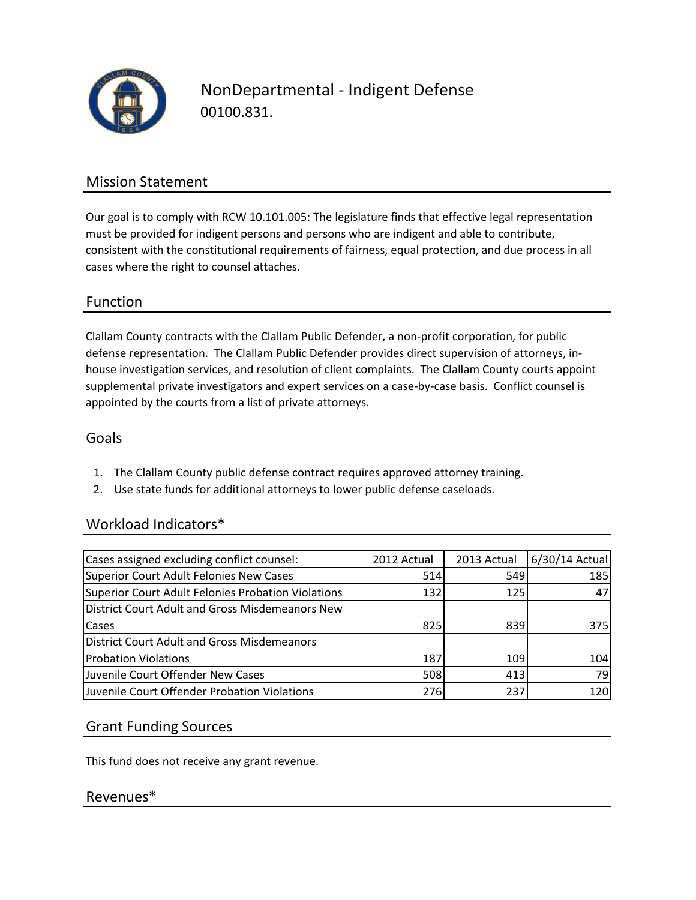

NonDepartmental - Indigent Defense 00100.831.

## Mission Statement

Our goal is to comply with RCW 10.101.005: The legislature finds that effective legal representation must be provided for indigent persons and persons who are indigent and able to contribute, consistent with the constitutional requirements of fairness, equal protection, and due process in all cases where the right to counsel attaches.

## Function

Clallam County contracts with the Clallam Public Defender, a non-profit corporation, for public defense representation. The Clallam Public Defender provides direct supervision of attorneys, inhouse investigation services, and resolution of client complaints. The Clallam County courts appoint supplemental private investigators and expert services on a case-by-case basis. Conflict counsel is appointed by the courts from a list of private attorneys.

#### Goals

- 1. The Clallam County public defense contract requires approved attorney training.
- 2. Use state funds for additional attorneys to lower public defense caseloads.

#### Workload Indicators\*

| Cases assigned excluding conflict counsel:         | 2012 Actual | 2013 Actual | 6/30/14 Actual |
|----------------------------------------------------|-------------|-------------|----------------|
| Superior Court Adult Felonies New Cases            | 514         | 549         | 185            |
| Superior Court Adult Felonies Probation Violations | 132         | 125         | 47             |
| District Court Adult and Gross Misdemeanors New    |             |             |                |
| Cases                                              | 825         | 839         | 375l           |
| <b>District Court Adult and Gross Misdemeanors</b> |             |             |                |
| <b>Probation Violations</b>                        | 187         | 109         | 104            |
| Juvenile Court Offender New Cases                  | 508         | 413         | 79             |
| Juvenile Court Offender Probation Violations       | 276         | 237         | 120            |

## Grant Funding Sources

This fund does not receive any grant revenue.

#### Revenues\*